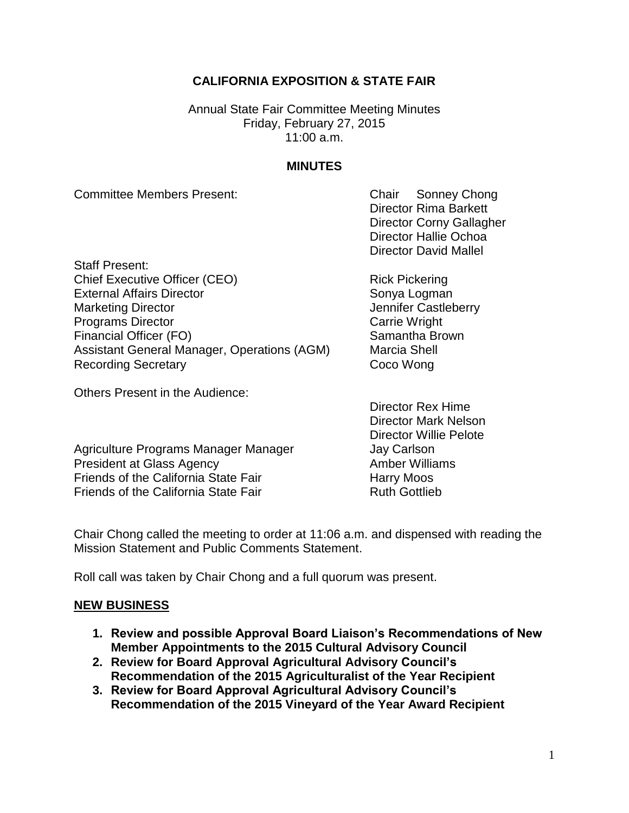### **CALIFORNIA EXPOSITION & STATE FAIR**

Annual State Fair Committee Meeting Minutes Friday, February 27, 2015  $11:00$  a.m.

#### **MINUTES**

Committee Members Present: Chair Sonney Chong

Director Rima Barkett Director Corny Gallagher Director Hallie Ochoa Director David Mallel

Staff Present: Chief Executive Officer (CEO) Rick Pickering External Affairs Director Sonya Logman Marketing Director **Marketing Director** And Tennifer Castleberry Programs Director **Carrie Wright** Carrie Wright Financial Officer (FO) Samantha Brown Assistant General Manager, Operations (AGM) Marcia Shell Recording Secretary **Coco Wong** 

Others Present in the Audience:

Agriculture Programs Manager Manager **Jay Carlson** President at Glass Agency **Amber Williams** Friends of the California State Fair **Harry Moos** Friends of the California State Fair **Ruth Gottlieb** 

Director Rex Hime Director Mark Nelson Director Willie Pelote

Chair Chong called the meeting to order at 11:06 a.m. and dispensed with reading the Mission Statement and Public Comments Statement.

Roll call was taken by Chair Chong and a full quorum was present.

#### **NEW BUSINESS**

- **1. Review and possible Approval Board Liaison's Recommendations of New Member Appointments to the 2015 Cultural Advisory Council**
- **2. Review for Board Approval Agricultural Advisory Council's Recommendation of the 2015 Agriculturalist of the Year Recipient**
- **3. Review for Board Approval Agricultural Advisory Council's Recommendation of the 2015 Vineyard of the Year Award Recipient**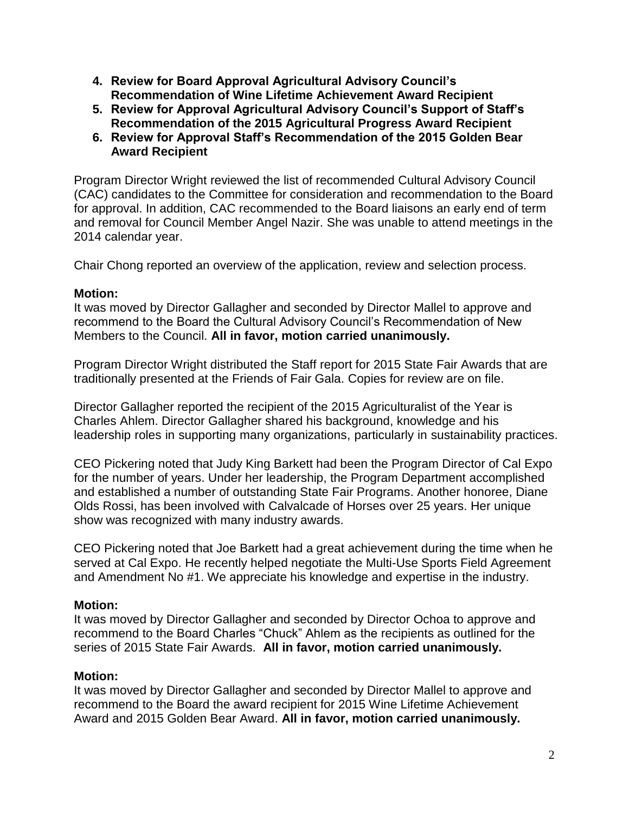- **4. Review for Board Approval Agricultural Advisory Council's Recommendation of Wine Lifetime Achievement Award Recipient**
- **5. Review for Approval Agricultural Advisory Council's Support of Staff's Recommendation of the 2015 Agricultural Progress Award Recipient**
- **6. Review for Approval Staff's Recommendation of the 2015 Golden Bear Award Recipient**

Program Director Wright reviewed the list of recommended Cultural Advisory Council (CAC) candidates to the Committee for consideration and recommendation to the Board for approval. In addition, CAC recommended to the Board liaisons an early end of term and removal for Council Member Angel Nazir. She was unable to attend meetings in the 2014 calendar year.

Chair Chong reported an overview of the application, review and selection process.

#### **Motion:**

It was moved by Director Gallagher and seconded by Director Mallel to approve and recommend to the Board the Cultural Advisory Council's Recommendation of New Members to the Council. **All in favor, motion carried unanimously.**

Program Director Wright distributed the Staff report for 2015 State Fair Awards that are traditionally presented at the Friends of Fair Gala. Copies for review are on file.

Director Gallagher reported the recipient of the 2015 Agriculturalist of the Year is Charles Ahlem. Director Gallagher shared his background, knowledge and his leadership roles in supporting many organizations, particularly in sustainability practices.

CEO Pickering noted that Judy King Barkett had been the Program Director of Cal Expo for the number of years. Under her leadership, the Program Department accomplished and established a number of outstanding State Fair Programs. Another honoree, Diane Olds Rossi, has been involved with Calvalcade of Horses over 25 years. Her unique show was recognized with many industry awards.

CEO Pickering noted that Joe Barkett had a great achievement during the time when he served at Cal Expo. He recently helped negotiate the Multi-Use Sports Field Agreement and Amendment No #1. We appreciate his knowledge and expertise in the industry.

# **Motion:**

It was moved by Director Gallagher and seconded by Director Ochoa to approve and recommend to the Board Charles "Chuck" Ahlem as the recipients as outlined for the series of 2015 State Fair Awards. **All in favor, motion carried unanimously.**

# **Motion:**

It was moved by Director Gallagher and seconded by Director Mallel to approve and recommend to the Board the award recipient for 2015 Wine Lifetime Achievement Award and 2015 Golden Bear Award. **All in favor, motion carried unanimously.**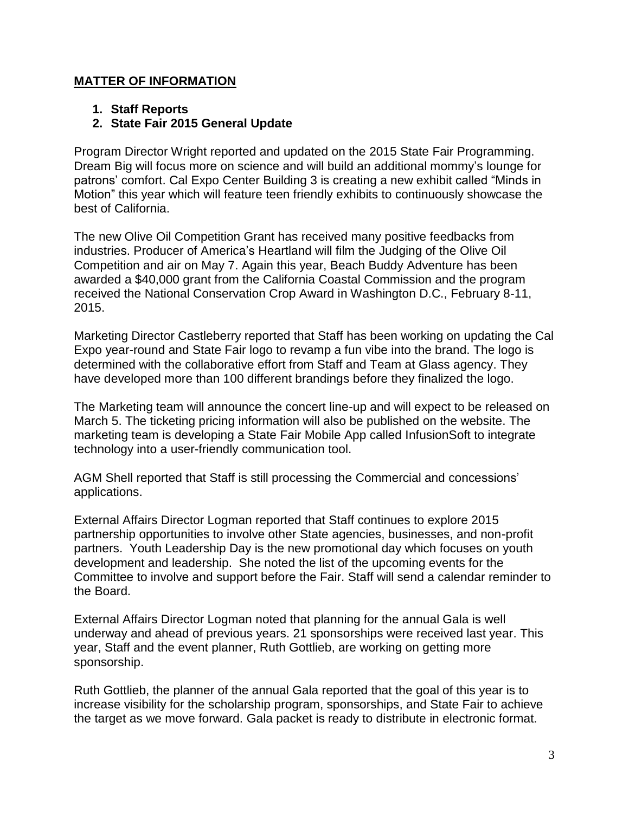### **MATTER OF INFORMATION**

#### **1. Staff Reports**

### **2. State Fair 2015 General Update**

Program Director Wright reported and updated on the 2015 State Fair Programming. Dream Big will focus more on science and will build an additional mommy's lounge for patrons' comfort. Cal Expo Center Building 3 is creating a new exhibit called "Minds in Motion" this year which will feature teen friendly exhibits to continuously showcase the best of California.

The new Olive Oil Competition Grant has received many positive feedbacks from industries. Producer of America's Heartland will film the Judging of the Olive Oil Competition and air on May 7. Again this year, Beach Buddy Adventure has been awarded a \$40,000 grant from the California Coastal Commission and the program received the National Conservation Crop Award in Washington D.C., February 8-11, 2015.

Marketing Director Castleberry reported that Staff has been working on updating the Cal Expo year-round and State Fair logo to revamp a fun vibe into the brand. The logo is determined with the collaborative effort from Staff and Team at Glass agency. They have developed more than 100 different brandings before they finalized the logo.

The Marketing team will announce the concert line-up and will expect to be released on March 5. The ticketing pricing information will also be published on the website. The marketing team is developing a State Fair Mobile App called InfusionSoft to integrate technology into a user-friendly communication tool.

AGM Shell reported that Staff is still processing the Commercial and concessions' applications.

External Affairs Director Logman reported that Staff continues to explore 2015 partnership opportunities to involve other State agencies, businesses, and non-profit partners. Youth Leadership Day is the new promotional day which focuses on youth development and leadership. She noted the list of the upcoming events for the Committee to involve and support before the Fair. Staff will send a calendar reminder to the Board.

External Affairs Director Logman noted that planning for the annual Gala is well underway and ahead of previous years. 21 sponsorships were received last year. This year, Staff and the event planner, Ruth Gottlieb, are working on getting more sponsorship.

Ruth Gottlieb, the planner of the annual Gala reported that the goal of this year is to increase visibility for the scholarship program, sponsorships, and State Fair to achieve the target as we move forward. Gala packet is ready to distribute in electronic format.